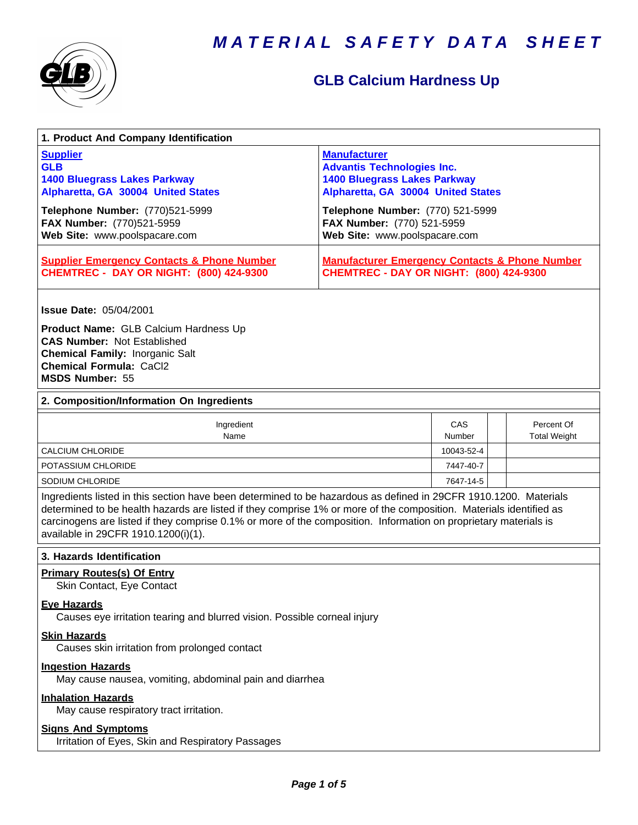



## **GLB Calcium Hardness Up**

| 1. Product And Company Identification                                                                                                                                                                                                                                                                                                                                                             |                                                                                                                                                                           |               |  |                                   |  |
|---------------------------------------------------------------------------------------------------------------------------------------------------------------------------------------------------------------------------------------------------------------------------------------------------------------------------------------------------------------------------------------------------|---------------------------------------------------------------------------------------------------------------------------------------------------------------------------|---------------|--|-----------------------------------|--|
| <b>Supplier</b><br><b>GLB</b><br><b>1400 Bluegrass Lakes Parkway</b><br>Alpharetta, GA 30004 United States<br>Telephone Number: (770)521-5999                                                                                                                                                                                                                                                     | <b>Manufacturer</b><br><b>Advantis Technologies Inc.</b><br><b>1400 Bluegrass Lakes Parkway</b><br>Alpharetta, GA 30004 United States<br>Telephone Number: (770) 521-5999 |               |  |                                   |  |
| FAX Number: (770)521-5959<br>Web Site: www.poolspacare.com                                                                                                                                                                                                                                                                                                                                        | FAX Number: (770) 521-5959<br>Web Site: www.poolspacare.com                                                                                                               |               |  |                                   |  |
| <b>Supplier Emergency Contacts &amp; Phone Number</b><br><b>CHEMTREC - DAY OR NIGHT: (800) 424-9300</b>                                                                                                                                                                                                                                                                                           | <b>Manufacturer Emergency Contacts &amp; Phone Number</b><br><b>CHEMTREC - DAY OR NIGHT: (800) 424-9300</b>                                                               |               |  |                                   |  |
| <b>Issue Date: 05/04/2001</b>                                                                                                                                                                                                                                                                                                                                                                     |                                                                                                                                                                           |               |  |                                   |  |
| Product Name: GLB Calcium Hardness Up<br><b>CAS Number: Not Established</b><br><b>Chemical Family: Inorganic Salt</b><br><b>Chemical Formula: CaCl2</b><br><b>MSDS Number: 55</b>                                                                                                                                                                                                                 |                                                                                                                                                                           |               |  |                                   |  |
| 2. Composition/Information On Ingredients                                                                                                                                                                                                                                                                                                                                                         |                                                                                                                                                                           |               |  |                                   |  |
| Ingredient<br>Name                                                                                                                                                                                                                                                                                                                                                                                |                                                                                                                                                                           | CAS<br>Number |  | Percent Of<br><b>Total Weight</b> |  |
| <b>CALCIUM CHLORIDE</b>                                                                                                                                                                                                                                                                                                                                                                           |                                                                                                                                                                           | 10043-52-4    |  |                                   |  |
| POTASSIUM CHLORIDE                                                                                                                                                                                                                                                                                                                                                                                |                                                                                                                                                                           | 7447-40-7     |  |                                   |  |
| SODIUM CHLORIDE                                                                                                                                                                                                                                                                                                                                                                                   |                                                                                                                                                                           | 7647-14-5     |  |                                   |  |
| Ingredients listed in this section have been determined to be hazardous as defined in 29CFR 1910.1200. Materials<br>determined to be health hazards are listed if they comprise 1% or more of the composition. Materials identified as<br>carcinogens are listed if they comprise 0.1% or more of the composition. Information on proprietary materials is<br>available in 29CFR 1910.1200(i)(1). |                                                                                                                                                                           |               |  |                                   |  |
| 3. Hazards Identification                                                                                                                                                                                                                                                                                                                                                                         |                                                                                                                                                                           |               |  |                                   |  |
| <b>Primary Routes(s) Of Entry</b><br>Skin Contact, Eye Contact                                                                                                                                                                                                                                                                                                                                    |                                                                                                                                                                           |               |  |                                   |  |
| <b>Eye Hazards</b><br>Causes eye irritation tearing and blurred vision. Possible corneal injury                                                                                                                                                                                                                                                                                                   |                                                                                                                                                                           |               |  |                                   |  |
| <b>Skin Hazards</b><br>Causes skin irritation from prolonged contact                                                                                                                                                                                                                                                                                                                              |                                                                                                                                                                           |               |  |                                   |  |
| <b>Ingestion Hazards</b><br>May cause nausea, vomiting, abdominal pain and diarrhea                                                                                                                                                                                                                                                                                                               |                                                                                                                                                                           |               |  |                                   |  |
| <b>Inhalation Hazards</b><br>May cause respiratory tract irritation.                                                                                                                                                                                                                                                                                                                              |                                                                                                                                                                           |               |  |                                   |  |
| <b>Signs_And_Symptoms</b><br>Irritation of Eyes, Skin and Respiratory Passages                                                                                                                                                                                                                                                                                                                    |                                                                                                                                                                           |               |  |                                   |  |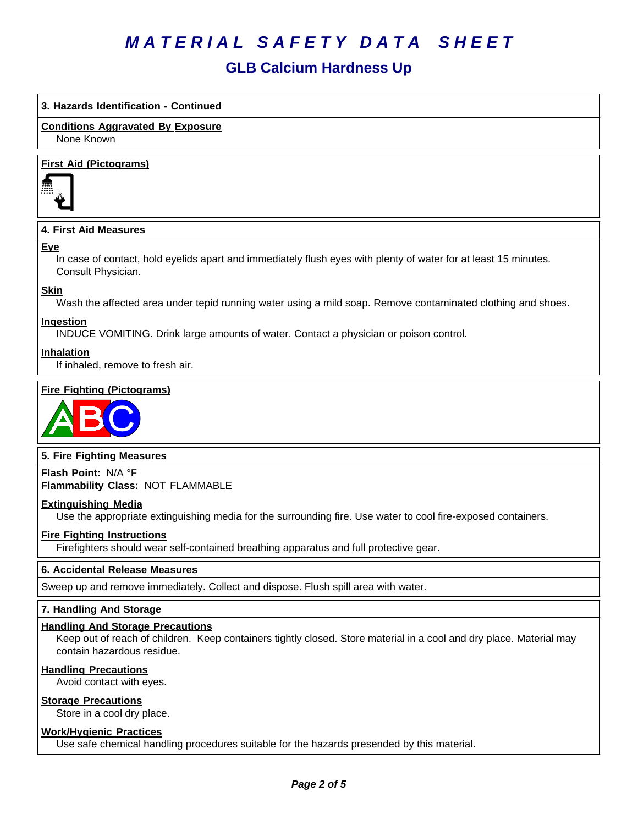### **GLB Calcium Hardness Up**

#### **3. Hazards Identification - Continued**

**Conditions Aggravated By Exposure**

None Known

#### **First Aid (Pictograms)**



#### **4. First Aid Measures**

#### **Eye**

In case of contact, hold eyelids apart and immediately flush eyes with plenty of water for at least 15 minutes. Consult Physician.

#### **Skin**

Wash the affected area under tepid running water using a mild soap. Remove contaminated clothing and shoes.

#### **Ingestion**

INDUCE VOMITING. Drink large amounts of water. Contact a physician or poison control.

#### **Inhalation**

If inhaled, remove to fresh air.

#### **Fire Fighting (Pictograms)**



#### **5. Fire Fighting Measures**

**Flash Point:** N/A°F **Flammability Class:** NOT FLAMMABLE

#### **Extinguishing Media**

Use the appropriate extinguishing media for the surrounding fire. Use water to cool fire-exposed containers.

#### **Fire Fighting Instructions**

Firefighters should wear self-contained breathing apparatus and full protective gear.

#### **6.Accidental ReleaseMeasures**

Sweep up and remove immediately. Collect and dispose. Flush spill area with water.

#### **7. Handling And Storage**

#### **Handling And Storage Precautions**

Keep out of reach of children. Keep containers tightly closed. Store material in a cool and dry place. Material may contain hazardous residue.

#### **Handling Precautions**

Avoid contact with eyes.

#### **Storage Precautions**

Store in a cool dry place.

#### **Work/Hygienic Practices**

Use safe chemical handling procedures suitable for the hazards presended by this material.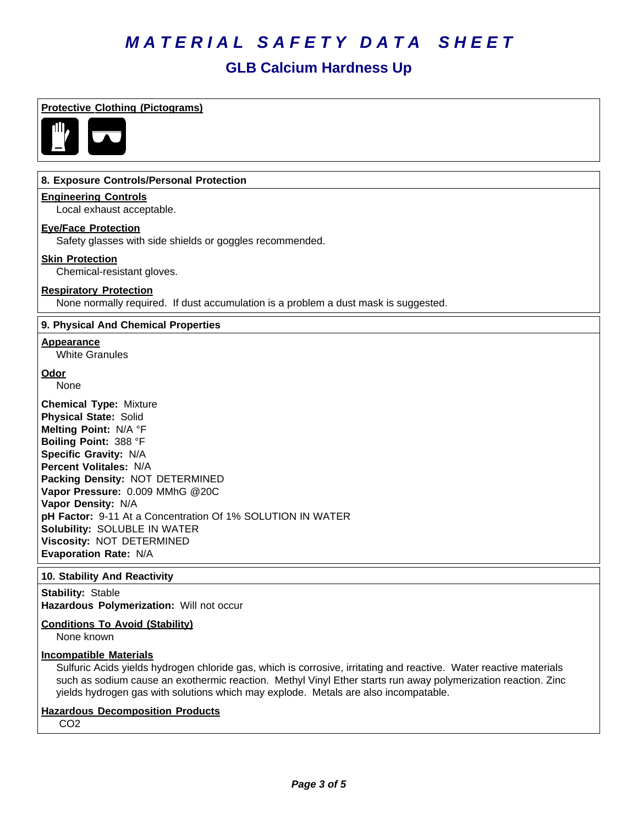## **GLB Calcium Hardness Up**

| <b>Protective Clothing (Pictograms)</b>                                                                                                                                                                                                                                                                                                                                                                            |
|--------------------------------------------------------------------------------------------------------------------------------------------------------------------------------------------------------------------------------------------------------------------------------------------------------------------------------------------------------------------------------------------------------------------|
|                                                                                                                                                                                                                                                                                                                                                                                                                    |
| 8. Exposure Controls/Personal Protection                                                                                                                                                                                                                                                                                                                                                                           |
| <b>Engineering Controls</b><br>Local exhaust acceptable.                                                                                                                                                                                                                                                                                                                                                           |
| <b>Eye/Face Protection</b><br>Safety glasses with side shields or goggles recommended.                                                                                                                                                                                                                                                                                                                             |
| <b>Skin Protection</b><br>Chemical-resistant gloves.                                                                                                                                                                                                                                                                                                                                                               |
| <b>Respiratory Protection</b><br>None normally required. If dust accumulation is a problem a dust mask is suggested.                                                                                                                                                                                                                                                                                               |
| 9. Physical And Chemical Properties                                                                                                                                                                                                                                                                                                                                                                                |
| <b>Appearance</b><br><b>White Granules</b>                                                                                                                                                                                                                                                                                                                                                                         |
| <b>Odor</b><br>None                                                                                                                                                                                                                                                                                                                                                                                                |
| <b>Chemical Type: Mixture</b><br><b>Physical State: Solid</b><br>Melting Point: N/A °F<br>Boiling Point: 388 °F<br>Specific Gravity: N/A<br>Percent Volitales: N/A<br>Packing Density: NOT DETERMINED<br>Vapor Pressure: 0.009 MMhG @20C<br>Vapor Density: N/A<br>pH Factor: 9-11 At a Concentration Of 1% SOLUTION IN WATER<br>Solubility: SOLUBLE IN WATER<br>Viscosity: NOT DETERMINED<br>Evaporation Rate: N/A |
| 10. Stability And Reactivity                                                                                                                                                                                                                                                                                                                                                                                       |
| <b>Stability: Stable</b><br>Hazardous Polymerization: Will not occur                                                                                                                                                                                                                                                                                                                                               |
| <b>Conditions To Avoid (Stability)</b><br>None known                                                                                                                                                                                                                                                                                                                                                               |
| <b>Incompatible Materials</b><br>Sulfuric Acids yields hydrogen chloride gas, which is corrosive, irritating and reactive. Water reactive materials<br>um couse on overhormic resortion Mothul Vinul Ether starts run                                                                                                                                                                                              |

such as sodium cause an exothermic reaction. Methyl Vinyl Ether starts run away polymerization reaction. Zinc yields hydrogen gas with solutions which may explode. Metals are also incompatable.

#### **Hazardous Decomposition Products**

CO2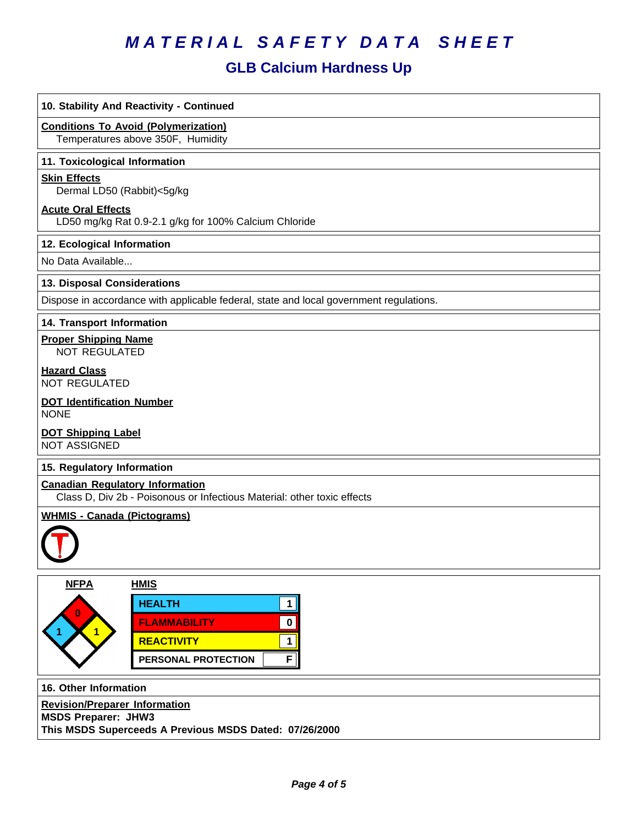## **GLB Calcium Hardness Up**

| 10. Stability And Reactivity - Continued                                                                          |  |  |
|-------------------------------------------------------------------------------------------------------------------|--|--|
| <b>Conditions To Avoid (Polymerization)</b><br>Temperatures above 350F, Humidity                                  |  |  |
| 11. Toxicological Information                                                                                     |  |  |
| <b>Skin Effects</b><br>Dermal LD50 (Rabbit)<5g/kg                                                                 |  |  |
| <b>Acute Oral Effects</b><br>LD50 mg/kg Rat 0.9-2.1 g/kg for 100% Calcium Chloride                                |  |  |
| 12. Ecological Information                                                                                        |  |  |
| No Data Available                                                                                                 |  |  |
| 13. Disposal Considerations                                                                                       |  |  |
| Dispose in accordance with applicable federal, state and local government regulations.                            |  |  |
| 14. Transport Information                                                                                         |  |  |
| <b>Proper Shipping Name</b><br><b>NOT REGULATED</b>                                                               |  |  |
| <b>Hazard Class</b><br><b>NOT REGULATED</b>                                                                       |  |  |
| <b>DOT Identification Number</b><br><b>NONE</b>                                                                   |  |  |
| <b>DOT Shipping Label</b><br><b>NOT ASSIGNED</b>                                                                  |  |  |
| 15. Regulatory Information                                                                                        |  |  |
| <b>Canadian Regulatory Information</b><br>Class D, Div 2b - Poisonous or Infectious Material: other toxic effects |  |  |
| <b>WHMIS - Canada (Pictograms)</b>                                                                                |  |  |
|                                                                                                                   |  |  |
| <b>NFPA</b><br><b>HMIS</b>                                                                                        |  |  |
| <b>HEALTH</b><br>$\mathbf 1$                                                                                      |  |  |
| <b>FLAMMABILITY</b><br>$\pmb{0}$                                                                                  |  |  |
| $\mathbf{1}$<br><b>REACTIVITY</b><br>$\mathbf 1$                                                                  |  |  |
| F<br>PERSONAL PROTECTION                                                                                          |  |  |
| 16. Other Information                                                                                             |  |  |
| <b>Revision/Preparer Information</b>                                                                              |  |  |
| <b>MSDS Preparer: JHW3</b><br>This MSDS Superceeds A Previous MSDS Dated: 07/26/2000                              |  |  |